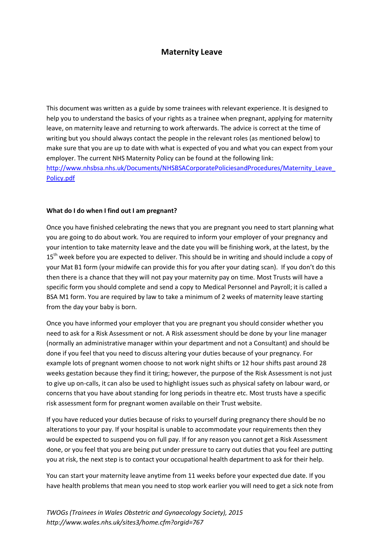# **Maternity Leave**

This document was written as a guide by some trainees with relevant experience. It is designed to help you to understand the basics of your rights as a trainee when pregnant, applying for maternity leave, on maternity leave and returning to work afterwards. The advice is correct at the time of writing but you should always contact the people in the relevant roles (as mentioned below) to make sure that you are up to date with what is expected of you and what you can expect from your employer. The current NHS Maternity Policy can be found at the following link: http://www.nhsbsa.nhs.uk/Documents/NHSBSACorporatePoliciesandProcedures/Maternity\_Leave [Policy.pdf](http://www.nhsbsa.nhs.uk/Documents/NHSBSACorporatePoliciesandProcedures/Maternity_Leave_Policy.pdf)

#### **What do I do when I find out I am pregnant?**

Once you have finished celebrating the news that you are pregnant you need to start planning what you are going to do about work. You are required to inform your employer of your pregnancy and your intention to take maternity leave and the date you will be finishing work, at the latest, by the 15<sup>th</sup> week before you are expected to deliver. This should be in writing and should include a copy of your Mat B1 form (your midwife can provide this for you after your dating scan). If you don't do this then there is a chance that they will not pay your maternity pay on time. Most Trusts will have a specific form you should complete and send a copy to Medical Personnel and Payroll; it is called a BSA M1 form. You are required by law to take a minimum of 2 weeks of maternity leave starting from the day your baby is born.

Once you have informed your employer that you are pregnant you should consider whether you need to ask for a Risk Assessment or not. A Risk assessment should be done by your line manager (normally an administrative manager within your department and not a Consultant) and should be done if you feel that you need to discuss altering your duties because of your pregnancy. For example lots of pregnant women choose to not work night shifts or 12 hour shifts past around 28 weeks gestation because they find it tiring; however, the purpose of the Risk Assessment is not just to give up on-calls, it can also be used to highlight issues such as physical safety on labour ward, or concerns that you have about standing for long periods in theatre etc. Most trusts have a specific risk assessment form for pregnant women available on their Trust website.

If you have reduced your duties because of risks to yourself during pregnancy there should be no alterations to your pay. If your hospital is unable to accommodate your requirements then they would be expected to suspend you on full pay. If for any reason you cannot get a Risk Assessment done, or you feel that you are being put under pressure to carry out duties that you feel are putting you at risk, the next step is to contact your occupational health department to ask for their help.

You can start your maternity leave anytime from 11 weeks before your expected due date. If you have health problems that mean you need to stop work earlier you will need to get a sick note from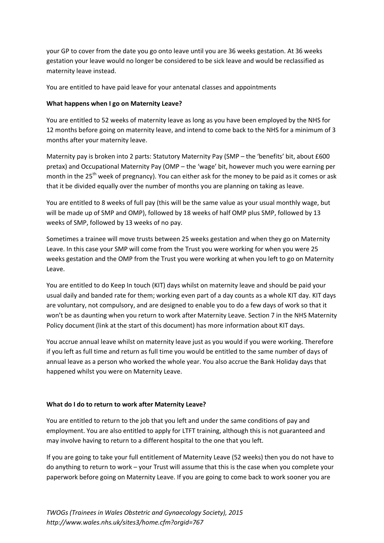your GP to cover from the date you go onto leave until you are 36 weeks gestation. At 36 weeks gestation your leave would no longer be considered to be sick leave and would be reclassified as maternity leave instead.

You are entitled to have paid leave for your antenatal classes and appointments

## **What happens when I go on Maternity Leave?**

You are entitled to 52 weeks of maternity leave as long as you have been employed by the NHS for 12 months before going on maternity leave, and intend to come back to the NHS for a minimum of 3 months after your maternity leave.

Maternity pay is broken into 2 parts: Statutory Maternity Pay (SMP – the 'benefits' bit, about £600 pretax) and Occupational Maternity Pay (OMP – the 'wage' bit, however much you were earning per month in the 25<sup>th</sup> week of pregnancy). You can either ask for the money to be paid as it comes or ask that it be divided equally over the number of months you are planning on taking as leave.

You are entitled to 8 weeks of full pay (this will be the same value as your usual monthly wage, but will be made up of SMP and OMP), followed by 18 weeks of half OMP plus SMP, followed by 13 weeks of SMP, followed by 13 weeks of no pay.

Sometimes a trainee will move trusts between 25 weeks gestation and when they go on Maternity Leave. In this case your SMP will come from the Trust you were working for when you were 25 weeks gestation and the OMP from the Trust you were working at when you left to go on Maternity Leave.

You are entitled to do Keep In touch (KIT) days whilst on maternity leave and should be paid your usual daily and banded rate for them; working even part of a day counts as a whole KIT day. KIT days are voluntary, not compulsory, and are designed to enable you to do a few days of work so that it won't be as daunting when you return to work after Maternity Leave. Section 7 in the NHS Maternity Policy document (link at the start of this document) has more information about KIT days.

You accrue annual leave whilst on maternity leave just as you would if you were working. Therefore if you left as full time and return as full time you would be entitled to the same number of days of annual leave as a person who worked the whole year. You also accrue the Bank Holiday days that happened whilst you were on Maternity Leave.

### **What do I do to return to work after Maternity Leave?**

You are entitled to return to the job that you left and under the same conditions of pay and employment. You are also entitled to apply for LTFT training, although this is not guaranteed and may involve having to return to a different hospital to the one that you left.

If you are going to take your full entitlement of Maternity Leave (52 weeks) then you do not have to do anything to return to work – your Trust will assume that this is the case when you complete your paperwork before going on Maternity Leave. If you are going to come back to work sooner you are